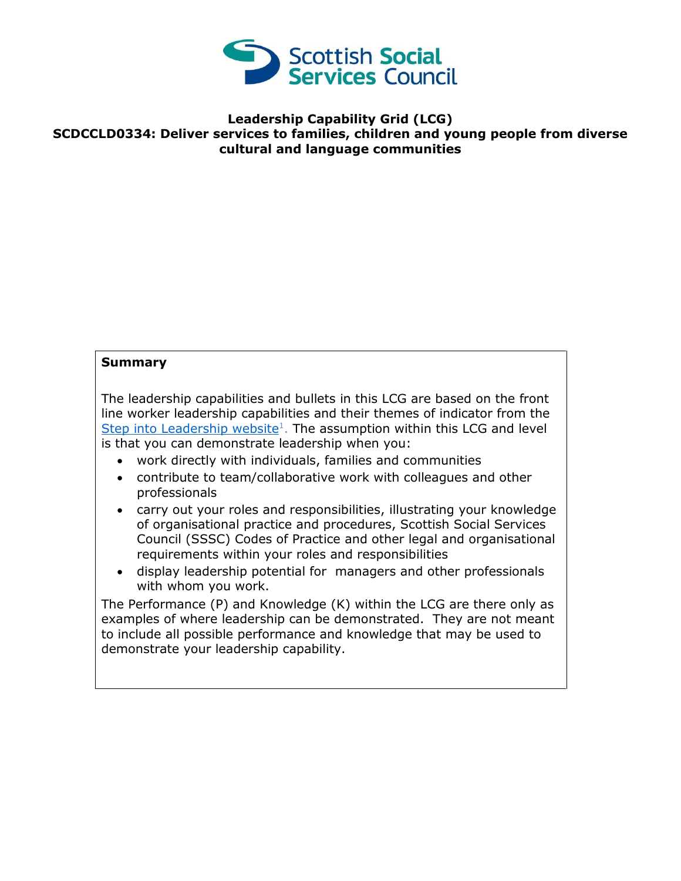

## **Leadership Capability Grid (LCG) SCDCCLD0334: Deliver services to families, children and young people from diverse cultural and language communities**

## **Summary**

The leadership capabilities and bullets in this LCG are based on the front line worker leadership capabilities and their themes of indicator from the [Step into Leadership website](http://www.stepintoleadership.info/)<sup>1</sup>. The assumption within this LCG and level is that you can demonstrate leadership when you:

- work directly with individuals, families and communities
- contribute to team/collaborative work with colleagues and other professionals
- carry out your roles and responsibilities, illustrating your knowledge of organisational practice and procedures, Scottish Social Services Council (SSSC) Codes of Practice and other legal and organisational requirements within your roles and responsibilities
- display leadership potential for managers and other professionals with whom you work.

The Performance (P) and Knowledge (K) within the LCG are there only as examples of where leadership can be demonstrated. They are not meant to include all possible performance and knowledge that may be used to demonstrate your leadership capability.